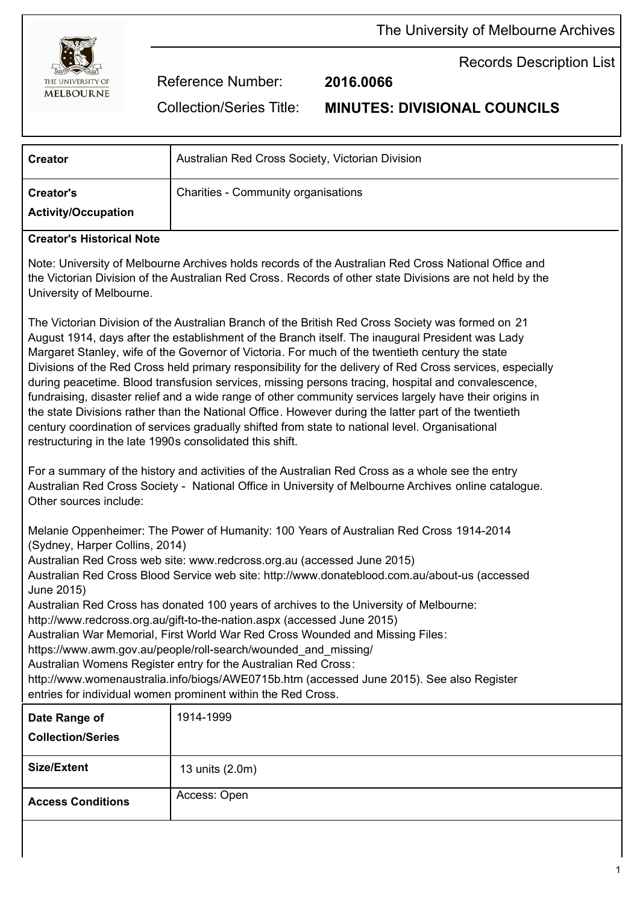

Records Description List

Reference Number: **2016.0066**

Collection/Series Title: **MINUTES: DIVISIONAL COUNCILS**

| <b>Creator</b>                          | Australian Red Cross Society, Victorian Division |
|-----------------------------------------|--------------------------------------------------|
| Creator's<br><b>Activity/Occupation</b> | Charities - Community organisations              |

## **Creator's Historical Note**

Note: University of Melbourne Archives holds records of the Australian Red Cross National Office and the Victorian Division of the Australian Red Cross. Records of other state Divisions are not held by the University of Melbourne.

The Victorian Division of the Australian Branch of the British Red Cross Society was formed on 21 August 1914, days after the establishment of the Branch itself. The inaugural President was Lady Margaret Stanley, wife of the Governor of Victoria. For much of the twentieth century the state Divisions of the Red Cross held primary responsibility for the delivery of Red Cross services, especially during peacetime. Blood transfusion services, missing persons tracing, hospital and convalescence, fundraising, disaster relief and a wide range of other community services largely have their origins in the state Divisions rather than the National Office. However during the latter part of the twentieth century coordination of services gradually shifted from state to national level. Organisational restructuring in the late 1990s consolidated this shift.

For a summary of the history and activities of the Australian Red Cross as a whole see the entry Australian Red Cross Society - National Office in University of Melbourne Archives online catalogue. Other sources include:

Melanie Oppenheimer: The Power of Humanity: 100 Years of Australian Red Cross 1914-2014 (Sydney, Harper Collins, 2014)

Australian Red Cross web site: www.redcross.org.au (accessed June 2015)

Australian Red Cross Blood Service web site: http://www.donateblood.com.au/about-us (accessed June 2015)

Australian Red Cross has donated 100 years of archives to the University of Melbourne:

http://www.redcross.org.au/gift-to-the-nation.aspx (accessed June 2015)

Australian War Memorial, First World War Red Cross Wounded and Missing Files:

https://www.awm.gov.au/people/roll-search/wounded\_and\_missing/

Australian Womens Register entry for the Australian Red Cross:

http://www.womenaustralia.info/biogs/AWE0715b.htm (accessed June 2015). See also Register entries for individual women prominent within the Red Cross.

| Date Range of<br><b>Collection/Series</b> | 1914-1999       |
|-------------------------------------------|-----------------|
| <b>Size/Extent</b>                        | 13 units (2.0m) |
| <b>Access Conditions</b>                  | Access: Open    |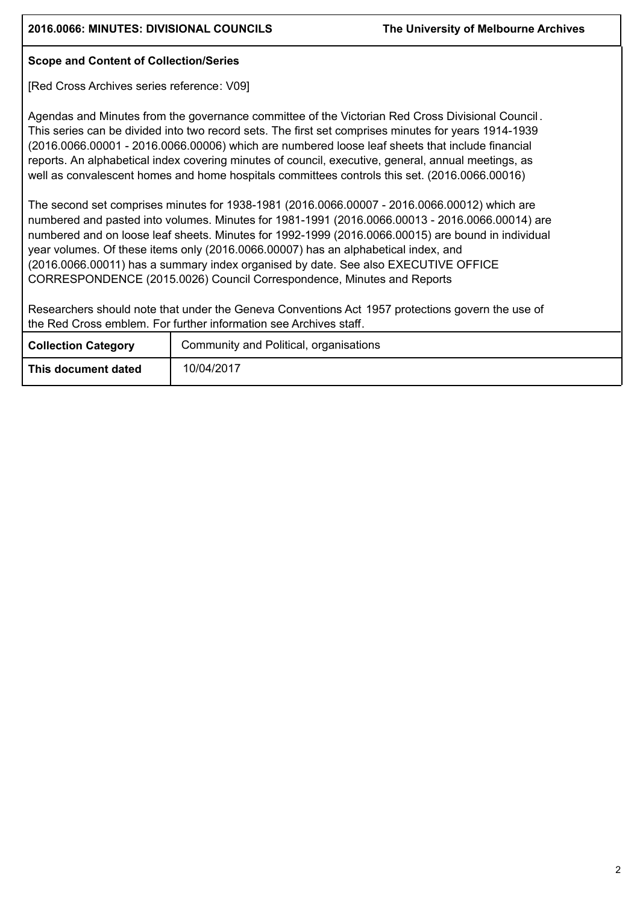## **Scope and Content of Collection/Series**

[Red Cross Archives series reference: V09]

Agendas and Minutes from the governance committee of the Victorian Red Cross Divisional Council . This series can be divided into two record sets. The first set comprises minutes for years 1914-1939 (2016.0066.00001 - 2016.0066.00006) which are numbered loose leaf sheets that include financial reports. An alphabetical index covering minutes of council, executive, general, annual meetings, as well as convalescent homes and home hospitals committees controls this set. (2016.0066.00016)

The second set comprises minutes for 1938-1981 (2016.0066.00007 - 2016.0066.00012) which are numbered and pasted into volumes. Minutes for 1981-1991 (2016.0066.00013 - 2016.0066.00014) are numbered and on loose leaf sheets. Minutes for 1992-1999 (2016.0066.00015) are bound in individual year volumes. Of these items only (2016.0066.00007) has an alphabetical index, and (2016.0066.00011) has a summary index organised by date. See also EXECUTIVE OFFICE CORRESPONDENCE (2015.0026) Council Correspondence, Minutes and Reports

Researchers should note that under the Geneva Conventions Act 1957 protections govern the use of the Red Cross emblem. For further information see Archives staff.

| <b>Collection Category</b> | Community and Political, organisations |  |  |
|----------------------------|----------------------------------------|--|--|
| This document dated        | 10/04/2017                             |  |  |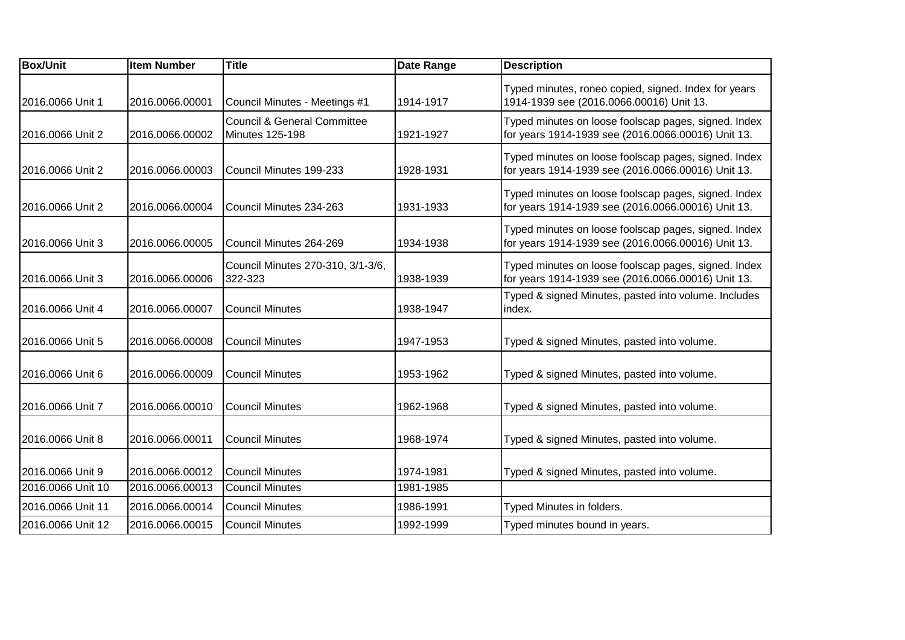| <b>Item Number</b> | <b>Title</b>                                          | Date Range | <b>Description</b>                                                                                         |
|--------------------|-------------------------------------------------------|------------|------------------------------------------------------------------------------------------------------------|
| 2016.0066.00001    | Council Minutes - Meetings #1                         | 1914-1917  | Typed minutes, roneo copied, signed. Index for years<br>1914-1939 see (2016.0066.00016) Unit 13.           |
| 2016.0066.00002    | Council & General Committee<br><b>Minutes 125-198</b> | 1921-1927  | Typed minutes on loose foolscap pages, signed. Index<br>for years 1914-1939 see (2016.0066.00016) Unit 13. |
| 2016.0066.00003    | Council Minutes 199-233                               | 1928-1931  | Typed minutes on loose foolscap pages, signed. Index<br>for years 1914-1939 see (2016.0066.00016) Unit 13. |
| 2016.0066.00004    | Council Minutes 234-263                               | 1931-1933  | Typed minutes on loose foolscap pages, signed. Index<br>for years 1914-1939 see (2016.0066.00016) Unit 13. |
| 2016.0066.00005    | Council Minutes 264-269                               | 1934-1938  | Typed minutes on loose foolscap pages, signed. Index<br>for years 1914-1939 see (2016.0066.00016) Unit 13. |
| 2016.0066.00006    | Council Minutes 270-310, 3/1-3/6,<br>322-323          | 1938-1939  | Typed minutes on loose foolscap pages, signed. Index<br>for years 1914-1939 see (2016.0066.00016) Unit 13. |
| 2016.0066.00007    | <b>Council Minutes</b>                                | 1938-1947  | Typed & signed Minutes, pasted into volume. Includes<br>index.                                             |
| 2016.0066.00008    | <b>Council Minutes</b>                                | 1947-1953  | Typed & signed Minutes, pasted into volume.                                                                |
| 2016.0066.00009    | Council Minutes                                       | 1953-1962  | Typed & signed Minutes, pasted into volume.                                                                |
| 2016.0066.00010    | <b>Council Minutes</b>                                | 1962-1968  | Typed & signed Minutes, pasted into volume.                                                                |
| 2016.0066.00011    | <b>Council Minutes</b>                                | 1968-1974  | Typed & signed Minutes, pasted into volume.                                                                |
| 2016.0066.00012    | <b>Council Minutes</b>                                | 1974-1981  | Typed & signed Minutes, pasted into volume.                                                                |
| 2016.0066.00013    | <b>Council Minutes</b>                                | 1981-1985  |                                                                                                            |
| 2016.0066.00014    | <b>Council Minutes</b>                                | 1986-1991  | Typed Minutes in folders.                                                                                  |
| 2016.0066.00015    | <b>Council Minutes</b>                                | 1992-1999  | Typed minutes bound in years.                                                                              |
|                    |                                                       |            |                                                                                                            |